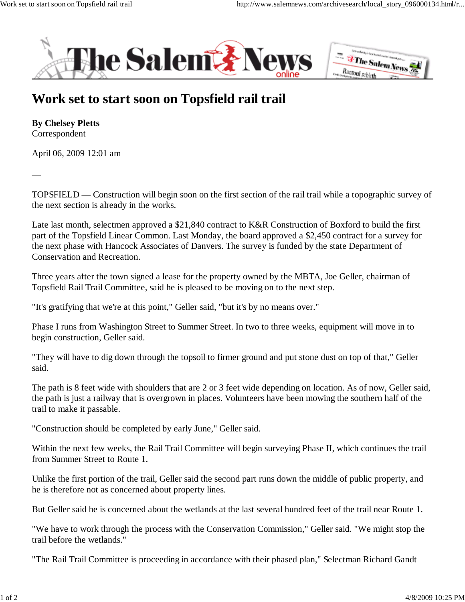



## **Work set to start soon on Topsfield rail trail**

**By Chelsey Pletts** Correspondent

—

April 06, 2009 12:01 am

TOPSFIELD — Construction will begin soon on the first section of the rail trail while a topographic survey of the next section is already in the works.

Late last month, selectmen approved a \$21,840 contract to K&R Construction of Boxford to build the first part of the Topsfield Linear Common. Last Monday, the board approved a \$2,450 contract for a survey for the next phase with Hancock Associates of Danvers. The survey is funded by the state Department of Conservation and Recreation.

Three years after the town signed a lease for the property owned by the MBTA, Joe Geller, chairman of Topsfield Rail Trail Committee, said he is pleased to be moving on to the next step.

"It's gratifying that we're at this point," Geller said, "but it's by no means over."

Phase I runs from Washington Street to Summer Street. In two to three weeks, equipment will move in to begin construction, Geller said.

"They will have to dig down through the topsoil to firmer ground and put stone dust on top of that," Geller said.

The path is 8 feet wide with shoulders that are 2 or 3 feet wide depending on location. As of now, Geller said, the path is just a railway that is overgrown in places. Volunteers have been mowing the southern half of the trail to make it passable.

"Construction should be completed by early June," Geller said.

Within the next few weeks, the Rail Trail Committee will begin surveying Phase II, which continues the trail from Summer Street to Route 1.

Unlike the first portion of the trail, Geller said the second part runs down the middle of public property, and he is therefore not as concerned about property lines.

But Geller said he is concerned about the wetlands at the last several hundred feet of the trail near Route 1.

"We have to work through the process with the Conservation Commission," Geller said. "We might stop the trail before the wetlands."

"The Rail Trail Committee is proceeding in accordance with their phased plan," Selectman Richard Gandt